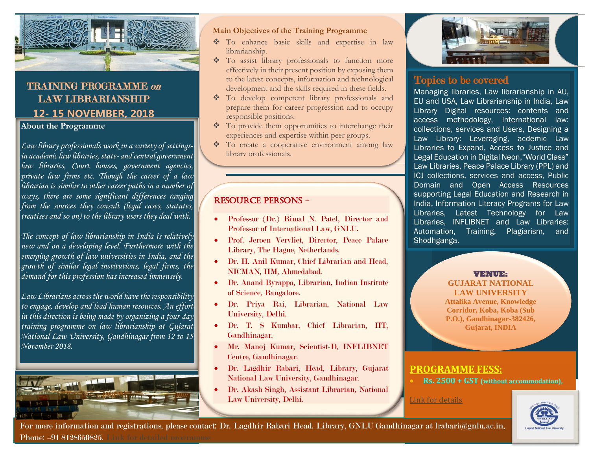

## TRAINING PROGRAMME on LAW LIBRARIANSHIP **12- 15 NOVEMBER, 2018**

**About the Programme**

+

*Law library professionals work in a variety of settingsin academic law libraries, state- and central government law libraries, Court houses, government agencies, private law firms etc. Though the career of a law librarian is similar to other career paths in a number of ways, there are some significant differences ranging from the sources they consult (legal cases, statutes, treatises and so on) to the library users they deal with.* 

*The concept of law librarianship in India is relatively new and on a developing level. Furthermore with the emerging growth of law universities in India, and the growth of similar legal institutions, legal firms, the demand for this profession has increased immensely.* 

*Law Librarians across the world have the responsibility to engage, develop and lead human resources. An effort in this direction is being made by organizing a four-day training programme on law librarianship at Gujarat National Law University, Gandhinagar from 12 to 15 November 2018.* 



# $M$ ain Objectives of the Training Programme

- To enhance basic skills and expertise in law librarianship.
- \* To assist library professionals to function more effectively in their present position by exposing them to the latest concepts, information and technological development and the skills required in these fields.
- **Contact View To develop competent library professionals and** prepare them for career progression and to occupy responsible positions.
- $\bullet$  To provide them opportunities to interchange their experiences and expertise within peer groups.
- \* To create a cooperative environment among law library professionals.

### Resource Persons -

- Professor (Dr.) Bimal N. Patel, Director and Professor of International Law, GNLU.
- Prof. Jeroen Vervliet, Director, Peace Palace Library, The Hague, Netherlands.
- Dr. H. Anil Kumar, Chief Librarian and Head, NICMAN, IIM, Ahmedabad.
- Dr. Anand Byrappa, Librarian, Indian Institute of Science, Bangalore.
- Dr. Priya Rai, Librarian, National Law University, Delhi.
- Dr. T. S Kumbar, Chief Librarian, IIT, Gandhinagar.
- Mr. Manoj Kumar, Scientist-D, INFLIBNET Centre, Gandhinagar.
- Dr. Lagdhir Rabari, Head, Library, Gujarat National Law University, Gandhinagar.
- Dr. Akash Singh, Assistant Librarian, National Law University, Delhi.



## Topics to be covered

Managing libraries, Law librarianship in AU, EU and USA, Law Librarianship in India, Law Library Digital resources: contents and access methodology, International law: collections, services and Users, Designing a Law Library: Leveraging, acdemic Law Libraries to Expand, Access to Justice and Legal Education in Digital Neon,"World Class" Law Libraries, Peace Palace Library (PPL) and ICJ collections, services and access, Public Domain and Open Access Resources supporting Legal Education and Research in India, Information Literacy Programs for Law Libraries, Latest Technology for Law Libraries, INFLIBNET and Law Libraries: Automation, Training, Plagiarism, and Shodhganga.

#### **VENUE:**

**GUJARAT NATIONAL LAW UNIVERSITY Attalika Avenue, Knowledge Corridor, Koba, Koba (Sub P.O.), Gandhinagar-382426, Gujarat, INDIA**

## **PROGRAMME FESS:**

**Rs. 2500 + GST (without accommodation),**

[Link for details](https://www.gnlu.ac.in/GNLU/News/1510-18%252f1527%252f01%253a%2bTraining%2bProgramme%2bon%2bLaw%2bLibrarianship%2b(12-15%2bNovember%252c%2b2018))



 For more information and registrations, please contact: Dr. Lagdhir Rabari Head. Library, GNLU Gandhinagar at lrabari@gnlu.ac.in, Phone: +91 8128650825. [Link for detailed programme](https://www.gnlu.ac.in/GNLU/News/1510-18%252f1527%252f01%253a%2bTraining%2bProgramme%2bon%2bLaw%2bLibrarianship%2b(12-15%2bNovember%252c%2b2018))